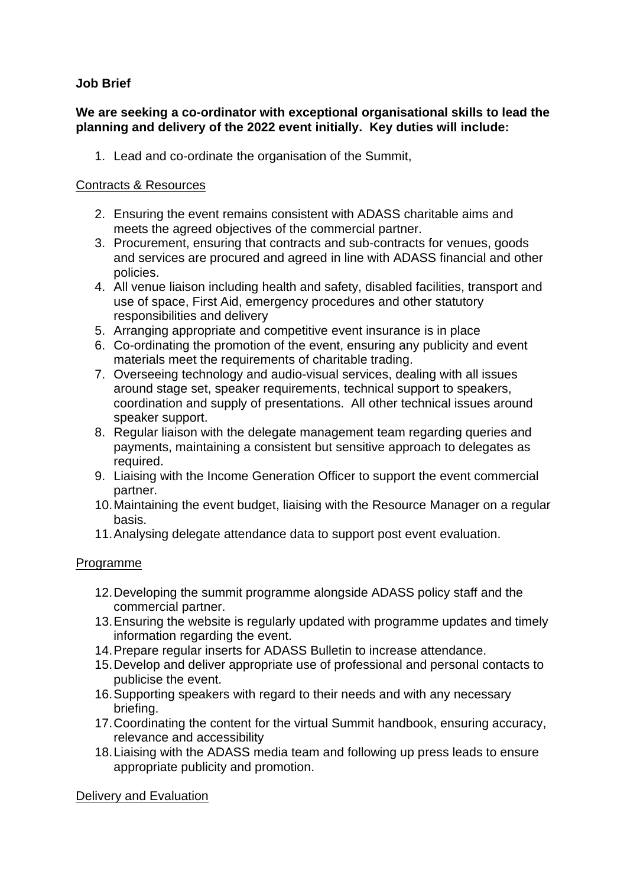## **Job Brief**

## **We are seeking a co-ordinator with exceptional organisational skills to lead the planning and delivery of the 2022 event initially. Key duties will include:**

1. Lead and co-ordinate the organisation of the Summit,

## Contracts & Resources

- 2. Ensuring the event remains consistent with ADASS charitable aims and meets the agreed objectives of the commercial partner.
- 3. Procurement, ensuring that contracts and sub-contracts for venues, goods and services are procured and agreed in line with ADASS financial and other policies.
- 4. All venue liaison including health and safety, disabled facilities, transport and use of space, First Aid, emergency procedures and other statutory responsibilities and delivery
- 5. Arranging appropriate and competitive event insurance is in place
- 6. Co-ordinating the promotion of the event, ensuring any publicity and event materials meet the requirements of charitable trading.
- 7. Overseeing technology and audio-visual services, dealing with all issues around stage set, speaker requirements, technical support to speakers, coordination and supply of presentations. All other technical issues around speaker support.
- 8. Regular liaison with the delegate management team regarding queries and payments, maintaining a consistent but sensitive approach to delegates as required.
- 9. Liaising with the Income Generation Officer to support the event commercial partner.
- 10.Maintaining the event budget, liaising with the Resource Manager on a regular basis.
- 11.Analysing delegate attendance data to support post event evaluation.

## Programme

- 12.Developing the summit programme alongside ADASS policy staff and the commercial partner.
- 13.Ensuring the website is regularly updated with programme updates and timely information regarding the event.
- 14.Prepare regular inserts for ADASS Bulletin to increase attendance.
- 15.Develop and deliver appropriate use of professional and personal contacts to publicise the event.
- 16.Supporting speakers with regard to their needs and with any necessary briefing.
- 17.Coordinating the content for the virtual Summit handbook, ensuring accuracy, relevance and accessibility
- 18.Liaising with the ADASS media team and following up press leads to ensure appropriate publicity and promotion.

Delivery and Evaluation